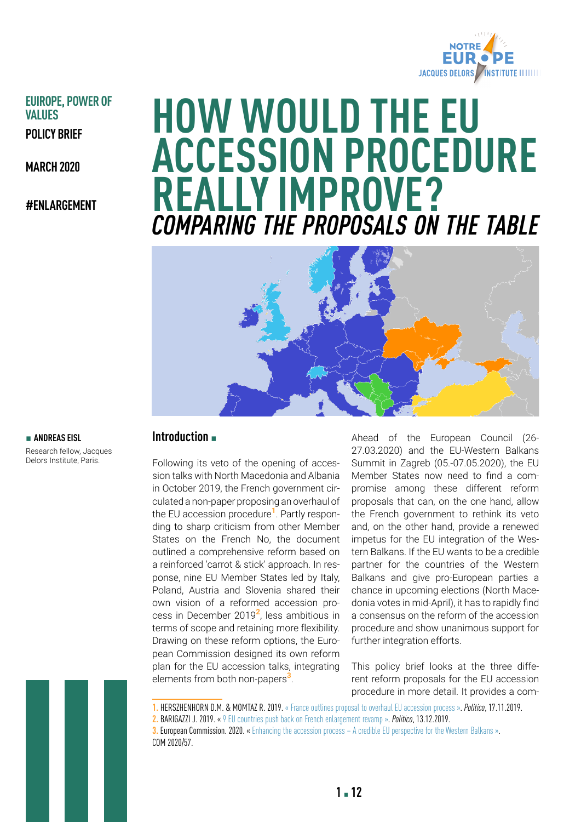

## **EUIROPE, POWER OF VALUES POLICY BRIEF**

**MARCH 2020**

**#ENLARGEMENT**

# **HOW WOULD THE EU ACCESSION PROCEDURE REALLY IMPROVE?** *COMPARING THE PROPOSALS ON THE TABLE*



#### $\blacksquare$  **ANDREAS EISL**

Research fellow, Jacques Delors Institute, Paris.

## **Introduction** ▪

Following its veto of the opening of accession talks with North Macedonia and Albania in October 2019, the French government circulated a non-paper proposing an overhaul of the EU accession procedure**1**. Partly responding to sharp criticism from other Member States on the French No, the document outlined a comprehensive reform based on a reinforced 'carrot & stick' approach. In response, nine EU Member States led by Italy, Poland, Austria and Slovenia shared their own vision of a reformed accession process in December 2019**2**, less ambitious in terms of scope and retaining more flexibility. Drawing on these reform options, the European Commission designed its own reform plan for the EU accession talks, integrating elements from both non-papers**3**.

Ahead of the European Council (26- 27.03.2020) and the EU-Western Balkans Summit in Zagreb (05.-07.05.2020), the EU Member States now need to find a compromise among these different reform proposals that can, on the one hand, allow the French government to rethink its veto and, on the other hand, provide a renewed impetus for the EU integration of the Western Balkans. If the EU wants to be a credible partner for the countries of the Western Balkans and give pro-European parties a chance in upcoming elections (North Macedonia votes in mid-April), it has to rapidly find a consensus on the reform of the accession procedure and show unanimous support for further integration efforts.

This policy brief looks at the three different reform proposals for the EU accession procedure in more detail. It provides a com-

**1.** HERSZHENHORN D.M. & MOMTAZ R. 2019. « [France outlines proposal to overhaul EU accession process](https://www.politico.eu/article/france-outlines-proposal-to-overhaul-eu-accession-process/) ». *Politico*, 17.11.2019.

**2.** BARIGAZZI J. 2019. « [9 EU countries push back on French enlargement revamp](https://www.politico.eu/article/eu-enlargement-reform-pushback/) ». *Politico*, 13.12.2019.

**3. European Commission. 2020.** « [Enhancing the accession process – A credible EU perspective for the Western Balkans](https://ec.europa.eu/neighbourhood-enlargement/sites/near/files/enlargement-methodology_en.pdf) ». COM 2020/57.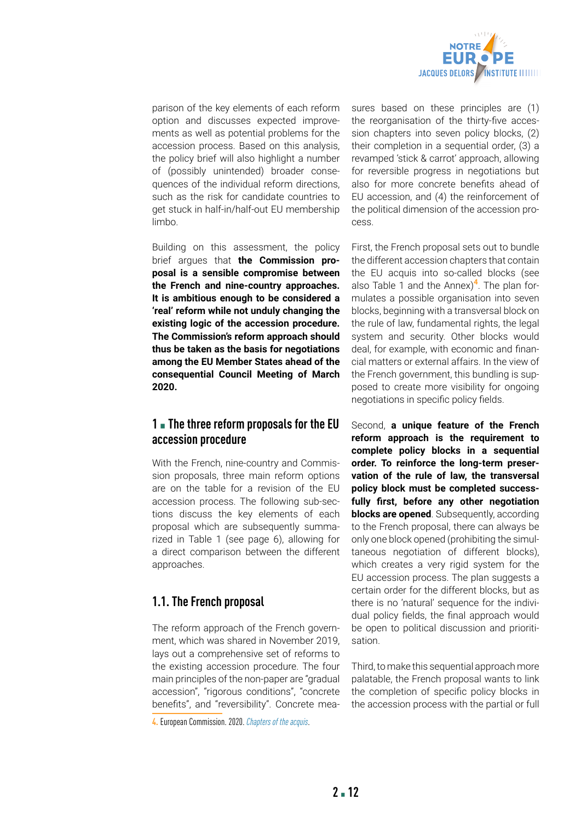

parison of the key elements of each reform option and discusses expected improvements as well as potential problems for the accession process. Based on this analysis, the policy brief will also highlight a number of (possibly unintended) broader consequences of the individual reform directions, such as the risk for candidate countries to get stuck in half-in/half-out EU membership limbo.

Building on this assessment, the policy brief argues that **the Commission proposal is a sensible compromise between the French and nine-country approaches. It is ambitious enough to be considered a 'real' reform while not unduly changing the existing logic of the accession procedure. The Commission's reform approach should thus be taken as the basis for negotiations among the EU Member States ahead of the consequential Council Meeting of March 2020.**

## **1** ▪ **The three reform proposals for the EU accession procedure**

With the French, nine-country and Commission proposals, three main reform options are on the table for a revision of the EU accession process. The following sub-sections discuss the key elements of each proposal which are subsequently summarized in Table 1 (see page 6), allowing for a direct comparison between the different approaches.

## **1.1. The French proposal**

The reform approach of the French government, which was shared in November 2019, lays out a comprehensive set of reforms to the existing accession procedure. The four main principles of the non-paper are "gradual accession", "rigorous conditions", "concrete benefits", and "reversibility". Concrete measures based on these principles are (1) the reorganisation of the thirty-five accession chapters into seven policy blocks, (2) their completion in a sequential order, (3) a revamped 'stick & carrot' approach, allowing for reversible progress in negotiations but also for more concrete benefits ahead of EU accession, and (4) the reinforcement of the political dimension of the accession process.

First, the French proposal sets out to bundle the different accession chapters that contain the EU acquis into so-called blocks (see also Table 1 and the Annex)**4**. The plan formulates a possible organisation into seven blocks, beginning with a transversal block on the rule of law, fundamental rights, the legal system and security. Other blocks would deal, for example, with economic and financial matters or external affairs. In the view of the French government, this bundling is supposed to create more visibility for ongoing negotiations in specific policy fields.

Second, **a unique feature of the French reform approach is the requirement to complete policy blocks in a sequential order. To reinforce the long-term preservation of the rule of law, the transversal policy block must be completed successfully first, before any other negotiation blocks are opened**. Subsequently, according to the French proposal, there can always be only one block opened (prohibiting the simultaneous negotiation of different blocks), which creates a very rigid system for the EU accession process. The plan suggests a certain order for the different blocks, but as there is no 'natural' sequence for the individual policy fields, the final approach would be open to political discussion and prioritisation.

Third, to make this sequential approach more palatable, the French proposal wants to link the completion of specific policy blocks in the accession process with the partial or full

**<sup>4.</sup>** European Commission. 2020. *[Chapters of the acquis](https://ec.europa.eu/neighbourhood-enlargement/policy/conditions-membership/chapters-of-the-acquis_en)*.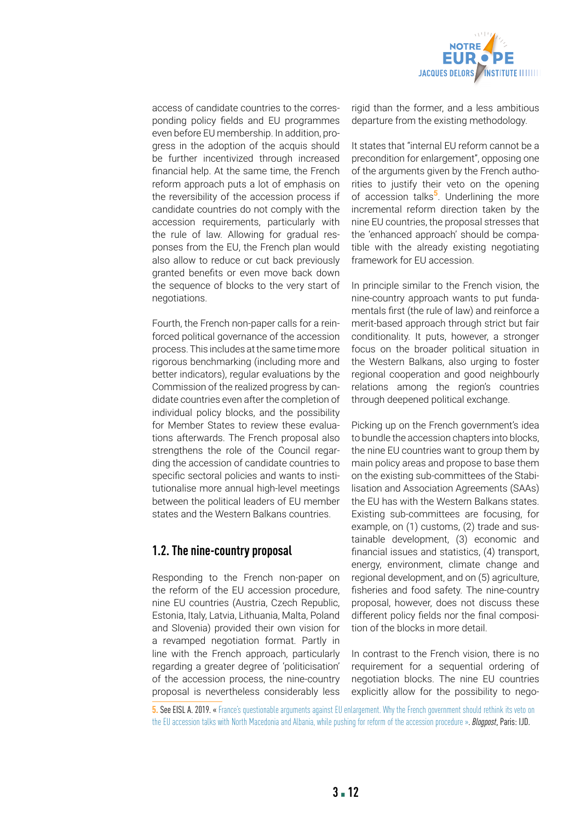

access of candidate countries to the corresponding policy fields and EU programmes even before EU membership. In addition, progress in the adoption of the acquis should be further incentivized through increased financial help. At the same time, the French reform approach puts a lot of emphasis on the reversibility of the accession process if candidate countries do not comply with the accession requirements, particularly with the rule of law. Allowing for gradual responses from the EU, the French plan would also allow to reduce or cut back previously granted benefits or even move back down the sequence of blocks to the very start of negotiations.

Fourth, the French non-paper calls for a reinforced political governance of the accession process. This includes at the same time more rigorous benchmarking (including more and better indicators), regular evaluations by the Commission of the realized progress by candidate countries even after the completion of individual policy blocks, and the possibility for Member States to review these evaluations afterwards. The French proposal also strengthens the role of the Council regarding the accession of candidate countries to specific sectoral policies and wants to institutionalise more annual high-level meetings between the political leaders of EU member states and the Western Balkans countries.

## **1.2. The nine-country proposal**

Responding to the French non-paper on the reform of the EU accession procedure, nine EU countries (Austria, Czech Republic, Estonia, Italy, Latvia, Lithuania, Malta, Poland and Slovenia) provided their own vision for a revamped negotiation format. Partly in line with the French approach, particularly regarding a greater degree of 'politicisation' of the accession process, the nine-country proposal is nevertheless considerably less

rigid than the former, and a less ambitious departure from the existing methodology.

It states that "internal EU reform cannot be a precondition for enlargement", opposing one of the arguments given by the French authorities to justify their veto on the opening of accession talks**5**. Underlining the more incremental reform direction taken by the nine EU countries, the proposal stresses that the 'enhanced approach' should be compatible with the already existing negotiating framework for EU accession.

In principle similar to the French vision, the nine-country approach wants to put fundamentals first (the rule of law) and reinforce a merit-based approach through strict but fair conditionality. It puts, however, a stronger focus on the broader political situation in the Western Balkans, also urging to foster regional cooperation and good neighbourly relations among the region's countries through deepened political exchange.

Picking up on the French government's idea to bundle the accession chapters into blocks, the nine EU countries want to group them by main policy areas and propose to base them on the existing sub-committees of the Stabilisation and Association Agreements (SAAs) the EU has with the Western Balkans states. Existing sub-committees are focusing, for example, on (1) customs, (2) trade and sustainable development, (3) economic and financial issues and statistics, (4) transport, energy, environment, climate change and regional development, and on (5) agriculture, fisheries and food safety. The nine-country proposal, however, does not discuss these different policy fields nor the final composition of the blocks in more detail.

In contrast to the French vision, there is no requirement for a sequential ordering of negotiation blocks. The nine EU countries explicitly allow for the possibility to nego-

**5. See EISL A. 2019.** « France's questionable arguments against EU enlargement. Why the French government should rethink its veto on [the EU accession talks with North Macedonia and Albania, while pushing for reform of the accession procedure](https://institutdelors.eu/wp-content/uploads/2019/12/BP_ElargissementMacedoine_Eisl-EN.pdf) ». *Blogpost*, Paris: IJD.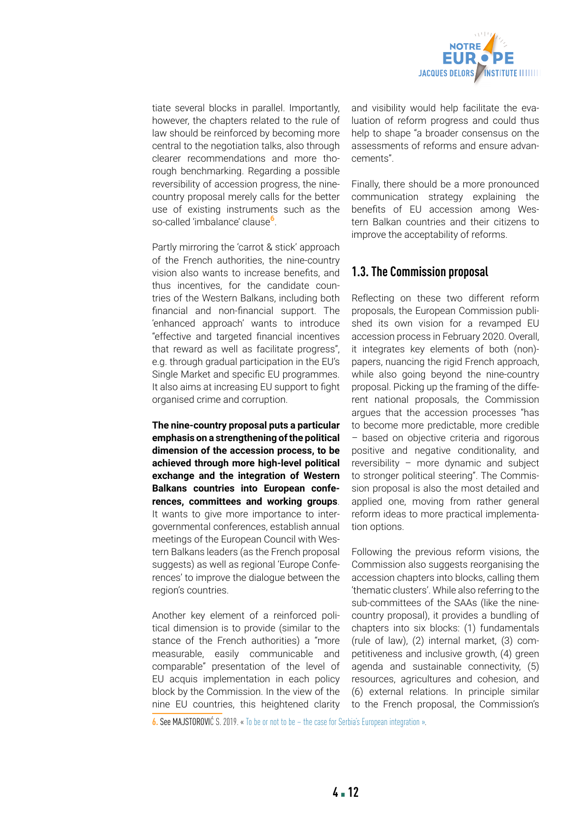

tiate several blocks in parallel. Importantly, however, the chapters related to the rule of law should be reinforced by becoming more central to the negotiation talks, also through clearer recommendations and more thorough benchmarking. Regarding a possible reversibility of accession progress, the ninecountry proposal merely calls for the better use of existing instruments such as the so-called 'imbalance' clause**6**.

Partly mirroring the 'carrot & stick' approach of the French authorities, the nine-country vision also wants to increase benefits, and thus incentives, for the candidate countries of the Western Balkans, including both financial and non-financial support. The 'enhanced approach' wants to introduce "effective and targeted financial incentives that reward as well as facilitate progress", e.g. through gradual participation in the EU's Single Market and specific EU programmes. It also aims at increasing EU support to fight organised crime and corruption.

**The nine-country proposal puts a particular emphasis on a strengthening of the political dimension of the accession process, to be achieved through more high-level political exchange and the integration of Western Balkans countries into European conferences, committees and working groups**. It wants to give more importance to intergovernmental conferences, establish annual meetings of the European Council with Western Balkans leaders (as the French proposal suggests) as well as regional 'Europe Conferences' to improve the dialogue between the region's countries.

Another key element of a reinforced political dimension is to provide (similar to the stance of the French authorities) a "more measurable, easily communicable and comparable" presentation of the level of EU acquis implementation in each policy block by the Commission. In the view of the nine EU countries, this heightened clarity

and visibility would help facilitate the evaluation of reform progress and could thus help to shape "a broader consensus on the assessments of reforms and ensure advancements".

Finally, there should be a more pronounced communication strategy explaining the benefits of EU accession among Western Balkan countries and their citizens to improve the acceptability of reforms.

## **1.3. The Commission proposal**

Reflecting on these two different reform proposals, the European Commission published its own vision for a revamped EU accession process in February 2020. Overall, it integrates key elements of both (non) papers, nuancing the rigid French approach, while also going beyond the nine-country proposal. Picking up the framing of the different national proposals, the Commission argues that the accession processes "has to become more predictable, more credible – based on objective criteria and rigorous positive and negative conditionality, and reversibility – more dynamic and subject to stronger political steering". The Commission proposal is also the most detailed and applied one, moving from rather general reform ideas to more practical implementation options.

Following the previous reform visions, the Commission also suggests reorganising the accession chapters into blocks, calling them 'thematic clusters'. While also referring to the sub-committees of the SAAs (like the ninecountry proposal), it provides a bundling of chapters into six blocks: (1) fundamentals (rule of law), (2) internal market, (3) competitiveness and inclusive growth, (4) green agenda and sustainable connectivity, (5) resources, agricultures and cohesion, and (6) external relations. In principle similar to the French proposal, the Commission's

**6.** See MAJSTOROVIĆ S. 2019. « [To be or not to be – the case for Serbia's European integration](https://www.global-focus.eu/2019/08/not-case-serbias-european-integration/) ».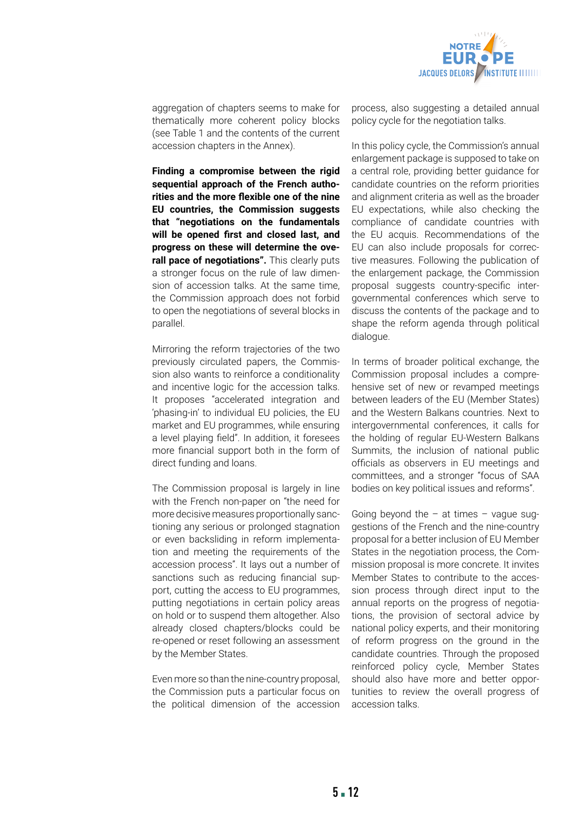

aggregation of chapters seems to make for thematically more coherent policy blocks (see Table 1 and the contents of the current accession chapters in the Annex).

**Finding a compromise between the rigid sequential approach of the French authorities and the more flexible one of the nine EU countries, the Commission suggests that "negotiations on the fundamentals will be opened first and closed last, and progress on these will determine the overall pace of negotiations".** This clearly puts a stronger focus on the rule of law dimension of accession talks. At the same time, the Commission approach does not forbid to open the negotiations of several blocks in parallel.

Mirroring the reform trajectories of the two previously circulated papers, the Commission also wants to reinforce a conditionality and incentive logic for the accession talks. It proposes "accelerated integration and 'phasing-in' to individual EU policies, the EU market and EU programmes, while ensuring a level playing field". In addition, it foresees more financial support both in the form of direct funding and loans.

The Commission proposal is largely in line with the French non-paper on "the need for more decisive measures proportionally sanctioning any serious or prolonged stagnation or even backsliding in reform implementation and meeting the requirements of the accession process". It lays out a number of sanctions such as reducing financial support, cutting the access to EU programmes, putting negotiations in certain policy areas on hold or to suspend them altogether. Also already closed chapters/blocks could be re-opened or reset following an assessment by the Member States.

Even more so than the nine-country proposal, the Commission puts a particular focus on the political dimension of the accession

process, also suggesting a detailed annual policy cycle for the negotiation talks.

In this policy cycle, the Commission's annual enlargement package is supposed to take on a central role, providing better guidance for candidate countries on the reform priorities and alignment criteria as well as the broader EU expectations, while also checking the compliance of candidate countries with the EU acquis. Recommendations of the EU can also include proposals for corrective measures. Following the publication of the enlargement package, the Commission proposal suggests country-specific intergovernmental conferences which serve to discuss the contents of the package and to shape the reform agenda through political dialogue.

In terms of broader political exchange, the Commission proposal includes a comprehensive set of new or revamped meetings between leaders of the EU (Member States) and the Western Balkans countries. Next to intergovernmental conferences, it calls for the holding of regular EU-Western Balkans Summits, the inclusion of national public officials as observers in EU meetings and committees, and a stronger "focus of SAA bodies on key political issues and reforms".

Going beyond the  $-$  at times  $-$  vague suggestions of the French and the nine-country proposal for a better inclusion of EU Member States in the negotiation process, the Commission proposal is more concrete. It invites Member States to contribute to the accession process through direct input to the annual reports on the progress of negotiations, the provision of sectoral advice by national policy experts, and their monitoring of reform progress on the ground in the candidate countries. Through the proposed reinforced policy cycle, Member States should also have more and better opportunities to review the overall progress of accession talks.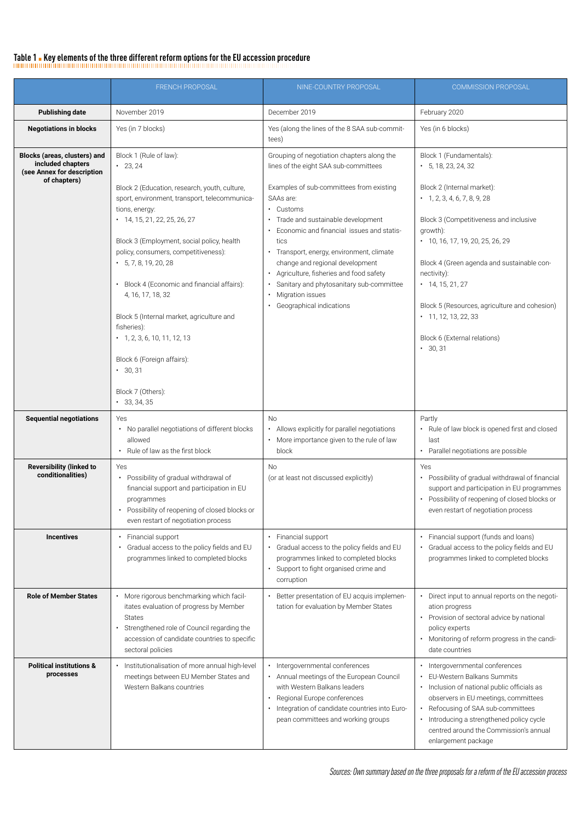#### Table 1 **·** Key elements of the three different reform options for the EU accession procedure

FRENCH PROPOSAL NINE-COUNTRY PROPOSAL COMMISSION PROPOSAL **Publishing date** November 2019 **December 2019** December 2019 **Publishing date** February 2020 **Negotiations in blocks** Yes (in 7 blocks) Yes (along the lines of the 8 SAA sub-committees) Yes (in 6 blocks) **Blocks (areas, clusters) and included chapters (see Annex for description of chapters)** Block 1 (Rule of law):  $• 23, 24$ Block 2 (Education, research, youth, culture, sport, environment, transport, telecommunications, energy:  $\cdot$  14, 15, 21, 22, 25, 26, 27 Block 3 (Employment, social policy, health policy, consumers, competitiveness):  $\cdot$  5, 7, 8, 19, 20, 28 • Block 4 (Economic and financial affairs): 4, 16, 17, 18, 32 Block 5 (Internal market, agriculture and fisheries):  $\cdot$  1, 2, 3, 6, 10, 11, 12, 13 Block 6 (Foreign affairs): • 30, 31 Block 7 (Others): • 33, 34, 35 Grouping of negotiation chapters along the lines of the eight SAA sub-committees Examples of sub-committees from existing SAAs are: • Customs • Trade and sustainable development • Economic and financial issues and statistics • Transport, energy, environment, climate change and regional development • Agriculture, fisheries and food safety • Sanitary and phytosanitary sub-committee • Migration issues • Geographical indications Block 1 (Fundamentals):  $\cdot$  5, 18, 23, 24, 32 Block 2 (Internal market):  $\cdot$  1, 2, 3, 4, 6, 7, 8, 9, 28 Block 3 (Competitiveness and inclusive growth): • 10, 16, 17, 19, 20, 25, 26, 29 Block 4 (Green agenda and sustainable connectivity):  $\cdot$  14, 15, 21, 27 Block 5 (Resources, agriculture and cohesion)  $\cdot$  11, 12, 13, 22, 33 Block 6 (External relations)  $• 30, 31$ **Sequential negotiations** Ves • No parallel negotiations of different blocks allowed • Rule of law as the first block No • Allows explicitly for parallel negotiations • More importance given to the rule of law block Partly • Rule of law block is opened first and closed last • Parallel negotiations are possible **Reversibility (linked to conditionalities)** Yes • Possibility of gradual withdrawal of financial support and participation in EU programmes • Possibility of reopening of closed blocks or even restart of negotiation process No (or at least not discussed explicitly) Yes • Possibility of gradual withdrawal of financial support and participation in EU programmes • Possibility of reopening of closed blocks or even restart of negotiation process **Incentives •** Financial support • Gradual access to the policy fields and EU programmes linked to completed blocks • Financial support • Gradual access to the policy fields and EU programmes linked to completed blocks • Support to fight organised crime and corruption • Financial support (funds and loans) • Gradual access to the policy fields and EU programmes linked to completed blocks **Role of Member States | •** More rigorous benchmarking which facilitates evaluation of progress by Member States • Strengthened role of Council regarding the accession of candidate countries to specific sectoral policies • Better presentation of EU acquis implementation for evaluation by Member States • Direct input to annual reports on the negotiation progress • Provision of sectoral advice by national policy experts • Monitoring of reform progress in the candidate countries **Political institutions & processes** • Institutionalisation of more annual high-level meetings between EU Member States and Western Balkans countries • Intergovernmental conferences • Annual meetings of the European Council with Western Balkans leaders • Regional Europe conferences • Integration of candidate countries into European committees and working groups • Intergovernmental conferences • EU-Western Balkans Summits • Inclusion of national public officials as observers in EU meetings, committees • Refocusing of SAA sub-committees • Introducing a strengthened policy cycle centred around the Commission's annual enlargement package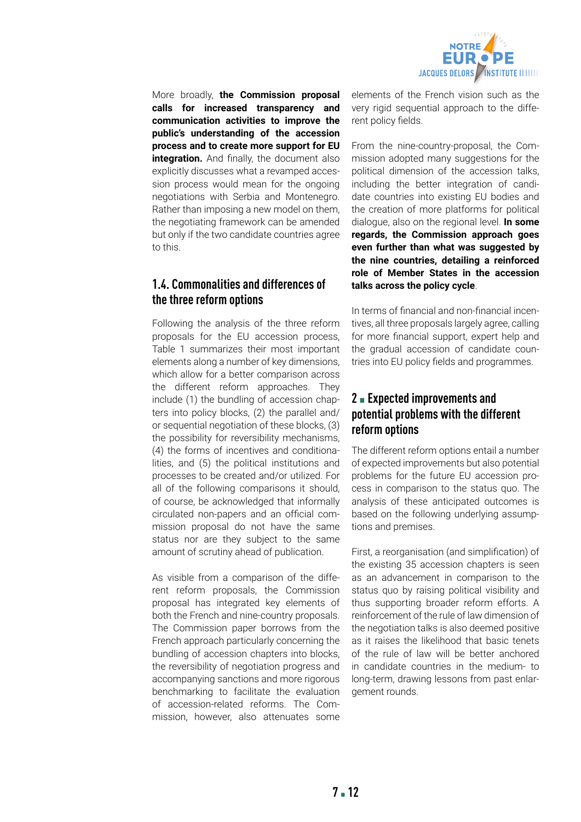

More broadly, **the Commission proposal calls for increased transparency and communication activities to improve the public's understanding of the accession process and to create more support for EU integration.** And finally, the document also explicitly discusses what a revamped accession process would mean for the ongoing negotiations with Serbia and Montenegro. Rather than imposing a new model on them, the negotiating framework can be amended but only if the two candidate countries agree to this.

## **1.4. Commonalities and differences of the three reform options**

Following the analysis of the three reform proposals for the EU accession process, Table 1 summarizes their most important elements along a number of key dimensions, which allow for a better comparison across the different reform approaches. They include (1) the bundling of accession chapters into policy blocks, (2) the parallel and/ or sequential negotiation of these blocks, (3) the possibility for reversibility mechanisms, (4) the forms of incentives and conditionalities, and (5) the political institutions and processes to be created and/or utilized. For all of the following comparisons it should, of course, be acknowledged that informally circulated non-papers and an official commission proposal do not have the same status nor are they subject to the same amount of scrutiny ahead of publication.

As visible from a comparison of the different reform proposals, the Commission proposal has integrated key elements of both the French and nine-country proposals. The Commission paper borrows from the French approach particularly concerning the bundling of accession chapters into blocks, the reversibility of negotiation progress and accompanying sanctions and more rigorous benchmarking to facilitate the evaluation of accession-related reforms. The Commission, however, also attenuates some

elements of the French vision such as the very rigid sequential approach to the different policy fields.

From the nine-country-proposal, the Commission adopted many suggestions for the political dimension of the accession talks, including the better integration of candidate countries into existing EU bodies and the creation of more platforms for political dialogue, also on the regional level. **In some regards, the Commission approach goes even further than what was suggested by the nine countries, detailing a reinforced role of Member States in the accession talks across the policy cycle**.

In terms of financial and non-financial incentives, all three proposals largely agree, calling for more financial support, expert help and the gradual accession of candidate countries into EU policy fields and programmes.

## **2** ▪ **Expected improvements and potential problems with the different reform options**

The different reform options entail a number of expected improvements but also potential problems for the future EU accession process in comparison to the status quo. The analysis of these anticipated outcomes is based on the following underlying assumptions and premises.

First, a reorganisation (and simplification) of the existing 35 accession chapters is seen as an advancement in comparison to the status quo by raising political visibility and thus supporting broader reform efforts. A reinforcement of the rule of law dimension of the negotiation talks is also deemed positive as it raises the likelihood that basic tenets of the rule of law will be better anchored in candidate countries in the medium- to long-term, drawing lessons from past enlargement rounds.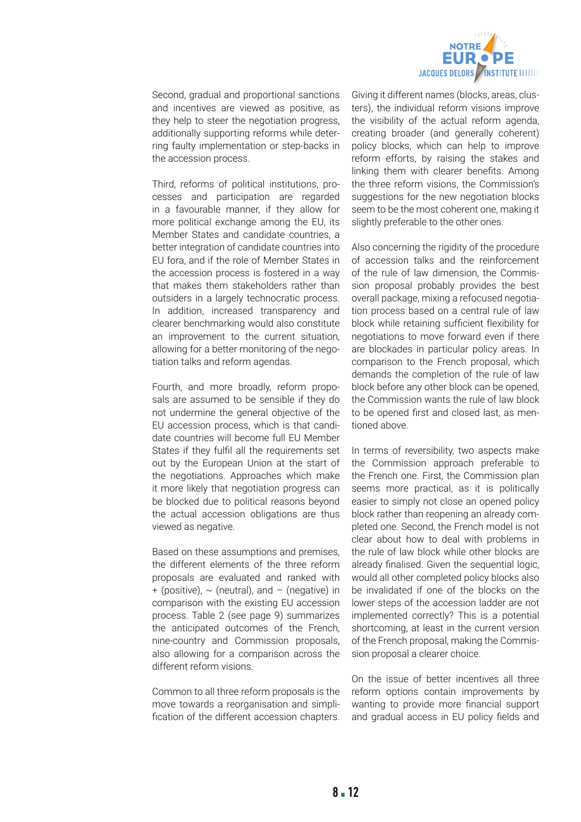

Second, gradual and proportional sanctions and incentives are viewed as positive, as they help to steer the negotiation progress, additionally supporting reforms while deterring faulty implementation or step-backs in the accession process.

Third, reforms of political institutions, processes and participation are regarded in a favourable manner, if they allow for more political exchange among the EU, its Member States and candidate countries, a better integration of candidate countries into EU fora, and if the role of Member States in the accession process is fostered in a way that makes them stakeholders rather than outsiders in a largely technocratic process. In addition, increased transparency and clearer benchmarking would also constitute an improvement to the current situation, allowing for a better monitoring of the negotiation talks and reform agendas.

Fourth, and more broadly, reform proposals are assumed to be sensible if they do not undermine the general objective of the EU accession process, which is that candidate countries will become full EU Member States if they fulfil all the requirements set out by the European Union at the start of the negotiations. Approaches which make it more likely that negotiation progress can be blocked due to political reasons beyond the actual accession obligations are thus viewed as negative.

Based on these assumptions and premises, the different elements of the three reform proposals are evaluated and ranked with + (positive),  $\sim$  (neutral), and - (negative) in comparison with the existing EU accession process. Table 2 (see page 9) summarizes the anticipated outcomes of the French, nine-country and Commission proposals, also allowing for a comparison across the different reform visions.

Common to all three reform proposals is the move towards a reorganisation and simplification of the different accession chapters.

Giving it different names (blocks, areas, clusters), the individual reform visions improve the visibility of the actual reform agenda, creating broader (and generally coherent) policy blocks, which can help to improve reform efforts, by raising the stakes and linking them with clearer benefits. Among the three reform visions, the Commission's suggestions for the new negotiation blocks seem to be the most coherent one, making it slightly preferable to the other ones.

Also concerning the rigidity of the procedure of accession talks and the reinforcement of the rule of law dimension, the Commission proposal probably provides the best overall package, mixing a refocused negotiation process based on a central rule of law block while retaining sufficient flexibility for negotiations to move forward even if there are blockades in particular policy areas. In comparison to the French proposal, which demands the completion of the rule of law block before any other block can be opened, the Commission wants the rule of law block to be opened first and closed last, as mentioned above.

In terms of reversibility, two aspects make the Commission approach preferable to the French one. First, the Commission plan seems more practical, as it is politically easier to simply not close an opened policy block rather than reopening an already completed one. Second, the French model is not clear about how to deal with problems in the rule of law block while other blocks are already finalised. Given the sequential logic, would all other completed policy blocks also be invalidated if one of the blocks on the lower steps of the accession ladder are not implemented correctly? This is a potential shortcoming, at least in the current version of the French proposal, making the Commission proposal a clearer choice.

On the issue of better incentives all three reform options contain improvements by wanting to provide more financial support and gradual access in EU policy fields and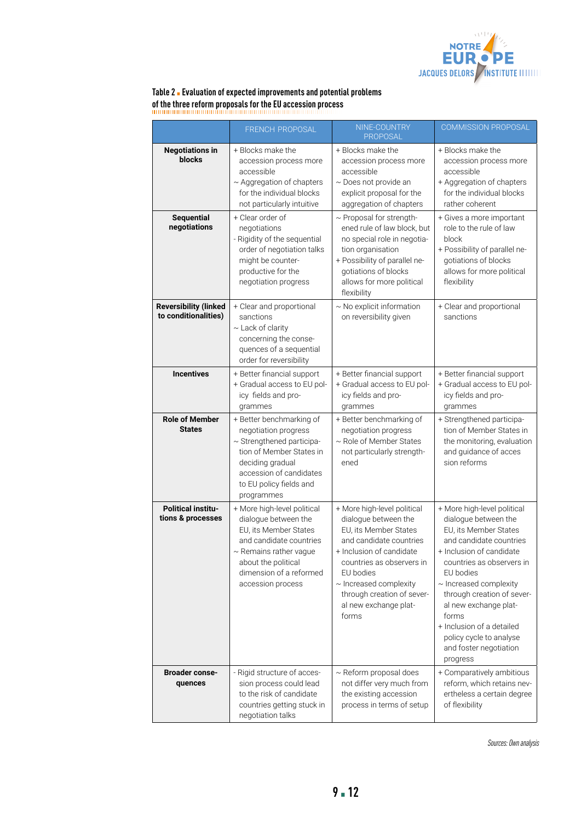

### **Table 2** ▪ **Evaluation of expected improvements and potential problems of the three reform proposals for the EU accession process**

|                                                      | FRENCH PROPOSAL                                                                                                                                                                                               | NINE-COUNTRY<br>PROPOSAL                                                                                                                                                                                                                                                     | <b>COMMISSION PROPOSAL</b>                                                                                                                                                                                                                                                                                                                                                 |
|------------------------------------------------------|---------------------------------------------------------------------------------------------------------------------------------------------------------------------------------------------------------------|------------------------------------------------------------------------------------------------------------------------------------------------------------------------------------------------------------------------------------------------------------------------------|----------------------------------------------------------------------------------------------------------------------------------------------------------------------------------------------------------------------------------------------------------------------------------------------------------------------------------------------------------------------------|
| <b>Negotiations in</b><br>blocks                     | + Blocks make the<br>accession process more<br>accessible<br>$\sim$ Aggregation of chapters<br>for the individual blocks<br>not particularly intuitive                                                        | + Blocks make the<br>accession process more<br>accessible<br>$\sim$ Does not provide an<br>explicit proposal for the<br>aggregation of chapters                                                                                                                              | + Blocks make the<br>accession process more<br>accessible<br>+ Aggregation of chapters<br>for the individual blocks<br>rather coherent                                                                                                                                                                                                                                     |
| <b>Sequential</b><br>negotiations                    | + Clear order of<br>negotiations<br>- Rigidity of the sequential<br>order of negotiation talks<br>might be counter-<br>productive for the<br>negotiation progress                                             | ~ Proposal for strength-<br>ened rule of law block, but<br>no special role in negotia-<br>tion organisation<br>+ Possibility of parallel ne-<br>gotiations of blocks<br>allows for more political<br>flexibility                                                             | + Gives a more important<br>role to the rule of law<br>block<br>+ Possibility of parallel ne-<br>gotiations of blocks<br>allows for more political<br>flexibility                                                                                                                                                                                                          |
| <b>Reversibility (linked</b><br>to conditionalities) | + Clear and proportional<br>sanctions<br>$\sim$ Lack of clarity<br>concerning the conse-<br>quences of a sequential<br>order for reversibility                                                                | ~ No explicit information<br>on reversibility given                                                                                                                                                                                                                          | + Clear and proportional<br>sanctions                                                                                                                                                                                                                                                                                                                                      |
| <b>Incentives</b>                                    | + Better financial support<br>+ Gradual access to EU pol-<br>icy fields and pro-<br>grammes                                                                                                                   | + Better financial support<br>+ Gradual access to EU pol-<br>icy fields and pro-<br>grammes                                                                                                                                                                                  | + Better financial support<br>+ Gradual access to EU pol-<br>icy fields and pro-<br>grammes                                                                                                                                                                                                                                                                                |
| <b>Role of Member</b><br><b>States</b>               | + Better benchmarking of<br>negotiation progress<br>~ Strengthened participa-<br>tion of Member States in<br>deciding gradual<br>accession of candidates<br>to EU policy fields and<br>programmes             | + Better benchmarking of<br>negotiation progress<br>~ Role of Member States<br>not particularly strength-<br>ened                                                                                                                                                            | + Strengthened participa-<br>tion of Member States in<br>the monitoring, evaluation<br>and guidance of acces<br>sion reforms                                                                                                                                                                                                                                               |
| <b>Political institu-</b><br>tions & processes       | + More high-level political<br>dialogue between the<br>EU. its Member States<br>and candidate countries<br>$\sim$ Remains rather vague<br>about the political<br>dimension of a reformed<br>accession process | + More high-level political<br>dialogue between the<br>EU, its Member States<br>and candidate countries<br>+ Inclusion of candidate<br>countries as observers in<br>EU bodies<br>$\sim$ Increased complexity<br>through creation of sever-<br>al new exchange plat-<br>forms | + More high-level political<br>dialogue between the<br>EU, its Member States<br>and candidate countries<br>+ Inclusion of candidate<br>countries as observers in<br>EU bodies<br>$\sim$ Increased complexity<br>through creation of sever-<br>al new exchange plat-<br>forms<br>+ Inclusion of a detailed<br>policy cycle to analyse<br>and foster negotiation<br>progress |
| <b>Broader conse-</b><br>quences                     | - Rigid structure of acces-<br>sion process could lead<br>to the risk of candidate<br>countries getting stuck in<br>negotiation talks                                                                         | $\sim$ Reform proposal does<br>not differ very much from<br>the existing accession<br>process in terms of setup                                                                                                                                                              | + Comparatively ambitious<br>reform, which retains nev-<br>ertheless a certain degree<br>of flexibility                                                                                                                                                                                                                                                                    |

*Sources: Own analysis*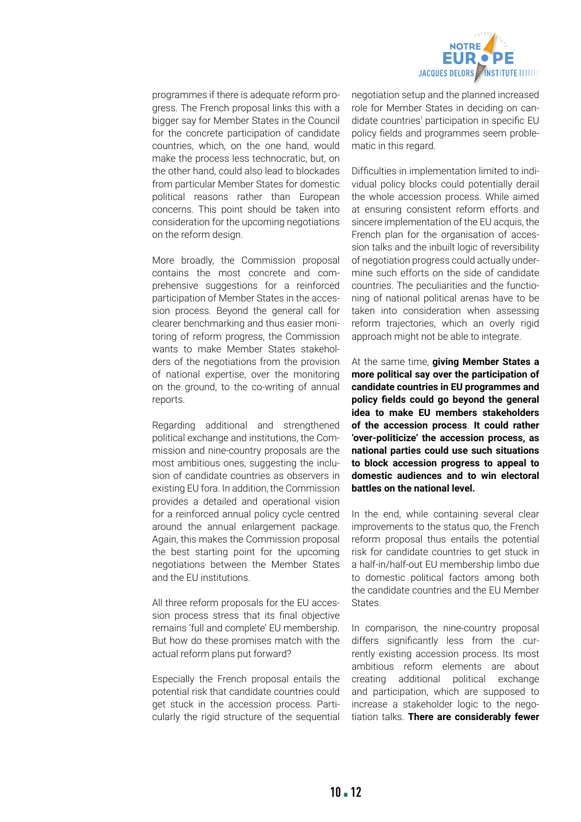

programmes if there is adequate reform progress. The French proposal links this with a bigger say for Member States in the Council for the concrete participation of candidate countries, which, on the one hand, would make the process less technocratic, but, on the other hand, could also lead to blockades from particular Member States for domestic political reasons rather than European concerns. This point should be taken into consideration for the upcoming negotiations on the reform design.

More broadly, the Commission proposal contains the most concrete and comprehensive suggestions for a reinforced participation of Member States in the accession process. Beyond the general call for clearer benchmarking and thus easier monitoring of reform progress, the Commission wants to make Member States stakeholders of the negotiations from the provision of national expertise, over the monitoring on the ground, to the co-writing of annual reports.

Regarding additional and strengthened political exchange and institutions, the Commission and nine-country proposals are the most ambitious ones, suggesting the inclusion of candidate countries as observers in existing EU fora. In addition, the Commission provides a detailed and operational vision for a reinforced annual policy cycle centred around the annual enlargement package. Again, this makes the Commission proposal the best starting point for the upcoming negotiations between the Member States and the EU institutions.

All three reform proposals for the EU accession process stress that its final objective remains 'full and complete' EU membership. But how do these promises match with the actual reform plans put forward?

Especially the French proposal entails the potential risk that candidate countries could get stuck in the accession process. Particularly the rigid structure of the sequential

negotiation setup and the planned increased role for Member States in deciding on candidate countries' participation in specific EU policy fields and programmes seem problematic in this regard.

Difficulties in implementation limited to individual policy blocks could potentially derail the whole accession process. While aimed at ensuring consistent reform efforts and sincere implementation of the EU acquis, the French plan for the organisation of accession talks and the inbuilt logic of reversibility of negotiation progress could actually undermine such efforts on the side of candidate countries. The peculiarities and the functioning of national political arenas have to be taken into consideration when assessing reform trajectories, which an overly rigid approach might not be able to integrate.

At the same time, **giving Member States a more political say over the participation of candidate countries in EU programmes and policy fields could go beyond the general idea to make EU members stakeholders of the accession process**. **It could rather 'over-politicize' the accession process, as national parties could use such situations to block accession progress to appeal to domestic audiences and to win electoral battles on the national level.** 

In the end, while containing several clear improvements to the status quo, the French reform proposal thus entails the potential risk for candidate countries to get stuck in a half-in/half-out EU membership limbo due to domestic political factors among both the candidate countries and the EU Member **States** 

In comparison, the nine-country proposal differs significantly less from the currently existing accession process. Its most ambitious reform elements are about creating additional political exchange and participation, which are supposed to increase a stakeholder logic to the negotiation talks. **There are considerably fewer**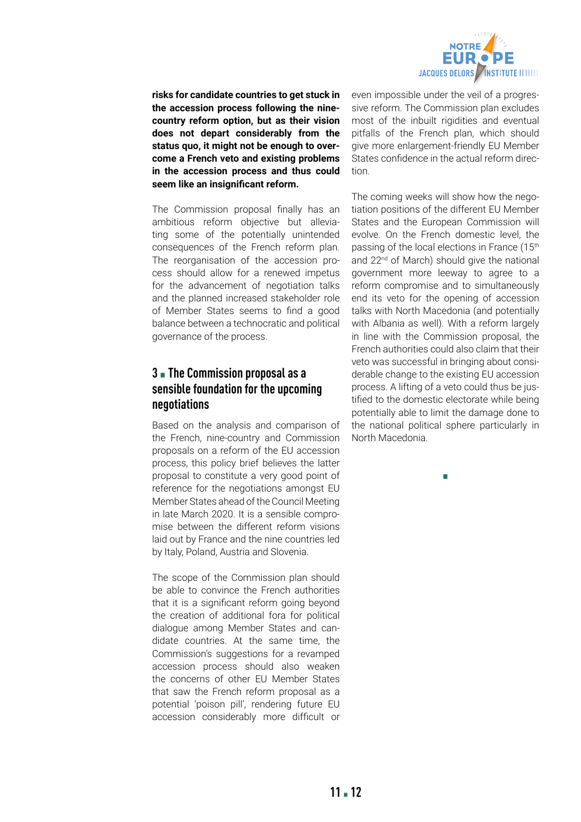

**risks for candidate countries to get stuck in the accession process following the ninecountry reform option, but as their vision does not depart considerably from the status quo, it might not be enough to overcome a French veto and existing problems in the accession process and thus could seem like an insignificant reform.**

The Commission proposal finally has an ambitious reform objective but alleviating some of the potentially unintended consequences of the French reform plan. The reorganisation of the accession process should allow for a renewed impetus for the advancement of negotiation talks and the planned increased stakeholder role of Member States seems to find a good balance between a technocratic and political governance of the process.

## **3** ▪ **The Commission proposal as a sensible foundation for the upcoming negotiations**

Based on the analysis and comparison of the French, nine-country and Commission proposals on a reform of the EU accession process, this policy brief believes the latter proposal to constitute a very good point of reference for the negotiations amongst EU Member States ahead of the Council Meeting in late March 2020. It is a sensible compromise between the different reform visions laid out by France and the nine countries led by Italy, Poland, Austria and Slovenia.

The scope of the Commission plan should be able to convince the French authorities that it is a significant reform going beyond the creation of additional fora for political dialogue among Member States and candidate countries. At the same time, the Commission's suggestions for a revamped accession process should also weaken the concerns of other EU Member States that saw the French reform proposal as a potential 'poison pill', rendering future EU accession considerably more difficult or

even impossible under the veil of a progressive reform. The Commission plan excludes most of the inbuilt rigidities and eventual pitfalls of the French plan, which should give more enlargement-friendly EU Member States confidence in the actual reform direction.

The coming weeks will show how the negotiation positions of the different EU Member States and the European Commission will evolve. On the French domestic level, the passing of the local elections in France (15<sup>th</sup> and 22<sup>nd</sup> of March) should give the national government more leeway to agree to a reform compromise and to simultaneously end its veto for the opening of accession talks with North Macedonia (and potentially with Albania as well). With a reform largely in line with the Commission proposal, the French authorities could also claim that their veto was successful in bringing about considerable change to the existing EU accession process. A lifting of a veto could thus be justified to the domestic electorate while being potentially able to limit the damage done to the national political sphere particularly in North Macedonia.

▪